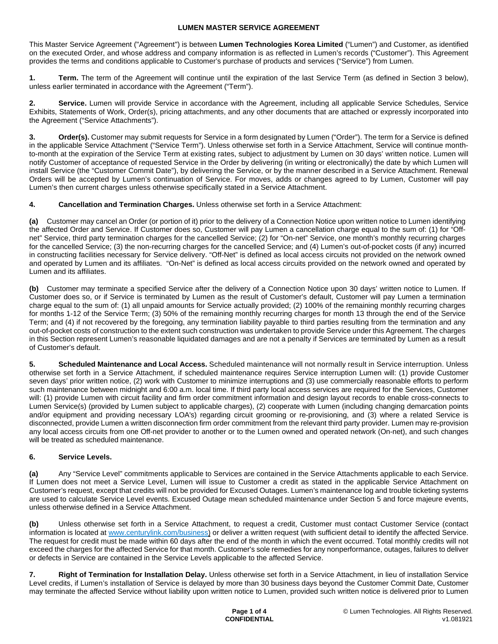This Master Service Agreement ("Agreement") is between **Lumen Technologies Korea Limited** ("Lumen") and Customer, as identified on the executed Order, and whose address and company information is as reflected in Lumen's records ("Customer"). This Agreement provides the terms and conditions applicable to Customer's purchase of products and services ("Service") from Lumen.

**1. Term.** The term of the Agreement will continue until the expiration of the last Service Term (as defined in Section 3 below), unless earlier terminated in accordance with the Agreement ("Term").

**2. Service.** Lumen will provide Service in accordance with the Agreement, including all applicable Service Schedules, Service Exhibits, Statements of Work, Order(s), pricing attachments, and any other documents that are attached or expressly incorporated into the Agreement ("Service Attachments").

**Order(s).** Customer may submit requests for Service in a form designated by Lumen ("Order"). The term for a Service is defined in the applicable Service Attachment ("Service Term"). Unless otherwise set forth in a Service Attachment, Service will continue monthto-month at the expiration of the Service Term at existing rates, subject to adjustment by Lumen on 30 days' written notice. Lumen will notify Customer of acceptance of requested Service in the Order by delivering (in writing or electronically) the date by which Lumen will install Service (the "Customer Commit Date"), by delivering the Service, or by the manner described in a Service Attachment. Renewal Orders will be accepted by Lumen's continuation of Service. For moves, adds or changes agreed to by Lumen, Customer will pay Lumen's then current charges unless otherwise specifically stated in a Service Attachment.

**4. Cancellation and Termination Charges.** Unless otherwise set forth in a Service Attachment:

**(a)** Customer may cancel an Order (or portion of it) prior to the delivery of a Connection Notice upon written notice to Lumen identifying the affected Order and Service. If Customer does so, Customer will pay Lumen a cancellation charge equal to the sum of: (1) for "Offnet" Service, third party termination charges for the cancelled Service; (2) for "On-net" Service, one month's monthly recurring charges for the cancelled Service; (3) the non-recurring charges for the cancelled Service; and (4) Lumen's out-of-pocket costs (if any) incurred in constructing facilities necessary for Service delivery. "Off-Net" is defined as local access circuits not provided on the network owned and operated by Lumen and its affiliates. "On-Net" is defined as local access circuits provided on the network owned and operated by Lumen and its affiliates.

**(b)** Customer may terminate a specified Service after the delivery of a Connection Notice upon 30 days' written notice to Lumen. If Customer does so, or if Service is terminated by Lumen as the result of Customer's default, Customer will pay Lumen a termination charge equal to the sum of: (1) all unpaid amounts for Service actually provided; (2) 100% of the remaining monthly recurring charges for months 1-12 of the Service Term; (3) 50% of the remaining monthly recurring charges for month 13 through the end of the Service Term; and (4) if not recovered by the foregoing, any termination liability payable to third parties resulting from the termination and any out-of-pocket costs of construction to the extent such construction was undertaken to provide Service under this Agreement. The charges in this Section represent Lumen's reasonable liquidated damages and are not a penalty if Services are terminated by Lumen as a result of Customer's default.

**5. Scheduled Maintenance and Local Access.** Scheduled maintenance will not normally result in Service interruption. Unless otherwise set forth in a Service Attachment, if scheduled maintenance requires Service interruption Lumen will: (1) provide Customer seven days' prior written notice, (2) work with Customer to minimize interruptions and (3) use commercially reasonable efforts to perform such maintenance between midnight and 6:00 a.m. local time. If third party local access services are required for the Services, Customer will: (1) provide Lumen with circuit facility and firm order commitment information and design layout records to enable cross-connects to Lumen Service(s) (provided by Lumen subject to applicable charges), (2) cooperate with Lumen (including changing demarcation points and/or equipment and providing necessary LOA's) regarding circuit grooming or re-provisioning, and (3) where a related Service is disconnected, provide Lumen a written disconnection firm order commitment from the relevant third party provider. Lumen may re-provision any local access circuits from one Off-net provider to another or to the Lumen owned and operated network (On-net), and such changes will be treated as scheduled maintenance.

# **6. Service Levels.**

**(a)** Any "Service Level" commitments applicable to Services are contained in the Service Attachments applicable to each Service. If Lumen does not meet a Service Level, Lumen will issue to Customer a credit as stated in the applicable Service Attachment on Customer's request, except that credits will not be provided for Excused Outages. Lumen's maintenance log and trouble ticketing systems are used to calculate Service Level events. Excused Outage mean scheduled maintenance under Section 5 and force majeure events, unless otherwise defined in a Service Attachment.

**(b)** Unless otherwise set forth in a Service Attachment, to request a credit, Customer must contact Customer Service (contact information is located at [www.centurylink.com/business](http://www.centurylink.com/business)) or deliver a written request (with sufficient detail to identify the affected Service. The request for credit must be made within 60 days after the end of the month in which the event occurred. Total monthly credits will not exceed the charges for the affected Service for that month. Customer's sole remedies for any nonperformance, outages, failures to deliver or defects in Service are contained in the Service Levels applicable to the affected Service.

**7. Right of Termination for Installation Delay.** Unless otherwise set forth in a Service Attachment, in lieu of installation Service Level credits, if Lumen's installation of Service is delayed by more than 30 business days beyond the Customer Commit Date, Customer may terminate the affected Service without liability upon written notice to Lumen, provided such written notice is delivered prior to Lumen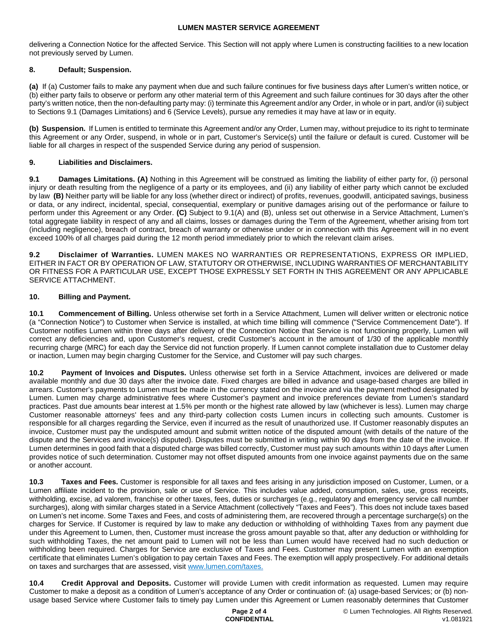delivering a Connection Notice for the affected Service. This Section will not apply where Lumen is constructing facilities to a new location not previously served by Lumen.

### **8. Default; Suspension.**

**(a)** If (a) Customer fails to make any payment when due and such failure continues for five business days after Lumen's written notice, or (b) either party fails to observe or perform any other material term of this Agreement and such failure continues for 30 days after the other party's written notice, then the non-defaulting party may: (i) terminate this Agreement and/or any Order, in whole or in part, and/or (ii) subject to Sections 9.1 (Damages Limitations) and 6 (Service Levels), pursue any remedies it may have at law or in equity.

**(b) Suspension.** If Lumen is entitled to terminate this Agreement and/or any Order, Lumen may, without prejudice to its right to terminate this Agreement or any Order, suspend, in whole or in part, Customer's Service(s) until the failure or default is cured. Customer will be liable for all charges in respect of the suspended Service during any period of suspension.

### **9. Liabilities and Disclaimers.**

**9.1 Damages Limitations. (A)** Nothing in this Agreement will be construed as limiting the liability of either party for, (i) personal injury or death resulting from the negligence of a party or its employees, and (ii) any liability of either party which cannot be excluded by law **(B)** Neither party will be liable for any loss (whether direct or indirect) of profits, revenues, goodwill, anticipated savings, business or data, or any indirect, incidental, special, consequential, exemplary or punitive damages arising out of the performance or failure to perform under this Agreement or any Order. **(C)** Subject to 9.1(A) and (B), unless set out otherwise in a Service Attachment, Lumen's total aggregate liability in respect of any and all claims, losses or damages during the Term of the Agreement, whether arising from tort (including negligence), breach of contract, breach of warranty or otherwise under or in connection with this Agreement will in no event exceed 100% of all charges paid during the 12 month period immediately prior to which the relevant claim arises.

**9.2 Disclaimer of Warranties.** LUMEN MAKES NO WARRANTIES OR REPRESENTATIONS, EXPRESS OR IMPLIED, EITHER IN FACT OR BY OPERATION OF LAW, STATUTORY OR OTHERWISE, INCLUDING WARRANTIES OF MERCHANTABILITY OR FITNESS FOR A PARTICULAR USE, EXCEPT THOSE EXPRESSLY SET FORTH IN THIS AGREEMENT OR ANY APPLICABLE SERVICE ATTACHMENT.

## **10. Billing and Payment.**

**10.1 Commencement of Billing.** Unless otherwise set forth in a Service Attachment, Lumen will deliver written or electronic notice (a "Connection Notice") to Customer when Service is installed, at which time billing will commence ("Service Commencement Date"). If Customer notifies Lumen within three days after delivery of the Connection Notice that Service is not functioning properly, Lumen will correct any deficiencies and, upon Customer's request, credit Customer's account in the amount of 1/30 of the applicable monthly recurring charge (MRC) for each day the Service did not function properly. If Lumen cannot complete installation due to Customer delay or inaction, Lumen may begin charging Customer for the Service, and Customer will pay such charges.

**10.2 Payment of Invoices and Disputes.** Unless otherwise set forth in a Service Attachment, invoices are delivered or made available monthly and due 30 days after the invoice date. Fixed charges are billed in advance and usage-based charges are billed in arrears. Customer's payments to Lumen must be made in the currency stated on the invoice and via the payment method designated by Lumen. Lumen may charge administrative fees where Customer's payment and invoice preferences deviate from Lumen's standard practices. Past due amounts bear interest at 1.5% per month or the highest rate allowed by law (whichever is less). Lumen may charge Customer reasonable attorneys' fees and any third-party collection costs Lumen incurs in collecting such amounts. Customer is responsible for all charges regarding the Service, even if incurred as the result of unauthorized use. If Customer reasonably disputes an invoice, Customer must pay the undisputed amount and submit written notice of the disputed amount (with details of the nature of the dispute and the Services and invoice(s) disputed). Disputes must be submitted in writing within 90 days from the date of the invoice. If Lumen determines in good faith that a disputed charge was billed correctly, Customer must pay such amounts within 10 days after Lumen provides notice of such determination. Customer may not offset disputed amounts from one invoice against payments due on the same or another account.

**10.3 Taxes and Fees.** Customer is responsible for all taxes and fees arising in any jurisdiction imposed on Customer, Lumen, or a Lumen affiliate incident to the provision, sale or use of Service. This includes value added, consumption, sales, use, gross receipts, withholding, excise, ad valorem, franchise or other taxes, fees, duties or surcharges (e.g., regulatory and emergency service call number surcharges), along with similar charges stated in a Service Attachment (collectively "Taxes and Fees"). This does not include taxes based on Lumen's net income. Some Taxes and Fees, and costs of administering them, are recovered through a percentage surcharge(s) on the charges for Service. If Customer is required by law to make any deduction or withholding of withholding Taxes from any payment due under this Agreement to Lumen, then, Customer must increase the gross amount payable so that, after any deduction or withholding for such withholding Taxes, the net amount paid to Lumen will not be less than Lumen would have received had no such deduction or withholding been required. Charges for Service are exclusive of Taxes and Fees. Customer may present Lumen with an exemption certificate that eliminates Lumen's obligation to pay certain Taxes and Fees. The exemption will apply prospectively. For additional details on taxes and surcharges that are assessed, visit [www.lumen.com/taxes](http://www.lumen.com/taxes).

**10.4 Credit Approval and Deposits.** Customer will provide Lumen with credit information as requested. Lumen may require Customer to make a deposit as a condition of Lumen's acceptance of any Order or continuation of: (a) usage-based Services; or (b) nonusage based Service where Customer fails to timely pay Lumen under this Agreement or Lumen reasonably determines that Customer

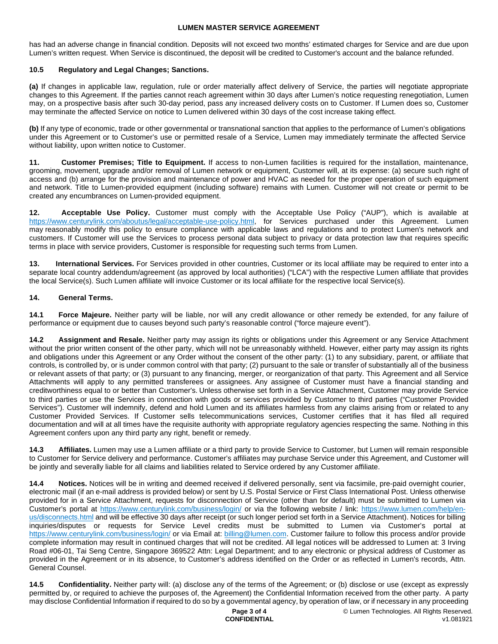has had an adverse change in financial condition. Deposits will not exceed two months' estimated charges for Service and are due upon Lumen's written request. When Service is discontinued, the deposit will be credited to Customer's account and the balance refunded.

### **10.5 Regulatory and Legal Changes; Sanctions.**

**(a)** If changes in applicable law, regulation, rule or order materially affect delivery of Service, the parties will negotiate appropriate changes to this Agreement. If the parties cannot reach agreement within 30 days after Lumen's notice requesting renegotiation, Lumen may, on a prospective basis after such 30-day period, pass any increased delivery costs on to Customer. If Lumen does so, Customer may terminate the affected Service on notice to Lumen delivered within 30 days of the cost increase taking effect.

**(b)** If any type of economic, trade or other governmental or transnational sanction that applies to the performance of Lumen's obligations under this Agreement or to Customer's use or permitted resale of a Service, Lumen may immediately terminate the affected Service without liability, upon written notice to Customer.

**11. Customer Premises; Title to Equipment.** If access to non-Lumen facilities is required for the installation, maintenance, grooming, movement, upgrade and/or removal of Lumen network or equipment, Customer will, at its expense: (a) secure such right of access and (b) arrange for the provision and maintenance of power and HVAC as needed for the proper operation of such equipment and network. Title to Lumen-provided equipment (including software) remains with Lumen. Customer will not create or permit to be created any encumbrances on Lumen-provided equipment.

**12. Acceptable Use Policy.** Customer must comply with the Acceptable Use Policy ("AUP"), which is available at https://www.centurylink.com/aboutus/legal/acceptable-use-policy.html, for Services purchased under this Agreement. Lumen may reasonably modify this policy to ensure compliance with applicable laws and regulations and to protect Lumen's network and customers. If Customer will use the Services to process personal data subject to privacy or data protection law that requires specific terms in place with service providers, Customer is responsible for requesting such terms from Lumen.

**13. International Services.** For Services provided in other countries, Customer or its local affiliate may be required to enter into a separate local country addendum/agreement (as approved by local authorities) ("LCA") with the respective Lumen affiliate that provides the local Service(s). Such Lumen affiliate will invoice Customer or its local affiliate for the respective local Service(s).

### **14. General Terms.**

**14.1 Force Majeure.** Neither party will be liable, nor will any credit allowance or other remedy be extended, for any failure of performance or equipment due to causes beyond such party's reasonable control ("force majeure event").

**14.2 Assignment and Resale.** Neither party may assign its rights or obligations under this Agreement or any Service Attachment without the prior written consent of the other party, which will not be unreasonably withheld. However, either party may assign its rights and obligations under this Agreement or any Order without the consent of the other party: (1) to any subsidiary, parent, or affiliate that controls, is controlled by, or is under common control with that party; (2) pursuant to the sale or transfer of substantially all of the business or relevant assets of that party; or (3) pursuant to any financing, merger, or reorganization of that party. This Agreement and all Service Attachments will apply to any permitted transferees or assignees. Any assignee of Customer must have a financial standing and creditworthiness equal to or better than Customer's. Unless otherwise set forth in a Service Attachment, Customer may provide Service to third parties or use the Services in connection with goods or services provided by Customer to third parties ("Customer Provided Services"). Customer will indemnify, defend and hold Lumen and its affiliates harmless from any claims arising from or related to any Customer Provided Services. If Customer sells telecommunications services, Customer certifies that it has filed all required documentation and will at all times have the requisite authority with appropriate regulatory agencies respecting the same. Nothing in this Agreement confers upon any third party any right, benefit or remedy.

**14.3 Affiliates.** Lumen may use a Lumen affiliate or a third party to provide Service to Customer, but Lumen will remain responsible to Customer for Service delivery and performance. Customer's affiliates may purchase Service under this Agreement, and Customer will be jointly and severally liable for all claims and liabilities related to Service ordered by any Customer affiliate.

**14.4 Notices.** Notices will be in writing and deemed received if delivered personally, sent via facsimile, pre-paid overnight courier, electronic mail (if an e-mail address is provided below) or sent by U.S. Postal Service or First Class International Post. Unless otherwise provided for in a Service Attachment, requests for disconnection of Service (other than for default) must be submitted to Lumen via Customer's portal at <https://www.centurylink.com/business/login/> or via the following website / link: [https://www.lumen.com/help/en](https://www.lumen.com/help/en-us/disconnects.html)[us/disconnects.html and will be effective 30 days after receipt \(or such longer period set forth in a Service Attachment\). Notices for billing](https://www.lumen.com/help/en-us/disconnects.html)  inquiries/disputes or requests for Service Level credits must be submitted to Lumen via Customer's portal at <https://www.centurylink.com/business/login/>or via Email at: [billing@lumen.com](mailto:billing@lumen.com). Customer failure to follow this process and/or provide complete information may result in continued charges that will not be credited. All legal notices will be addressed to Lumen at: 3 Irving Road #06-01, Tai Seng Centre, Singapore 369522 Attn: Legal Department; and to any electronic or physical address of Customer as provided in the Agreement or in its absence, to Customer's address identified on the Order or as reflected in Lumen's records, Attn. General Counsel.

**14.5 Confidentiality.** Neither party will: (a) disclose any of the terms of the Agreement; or (b) disclose or use (except as expressly permitted by, or required to achieve the purposes of, the Agreement) the Confidential Information received from the other party. A party may disclose Confidential Information if required to do so by a governmental agency, by operation of law, or if necessary in any proceeding

#### **Page 3 of 4 CONFIDENTIAL**